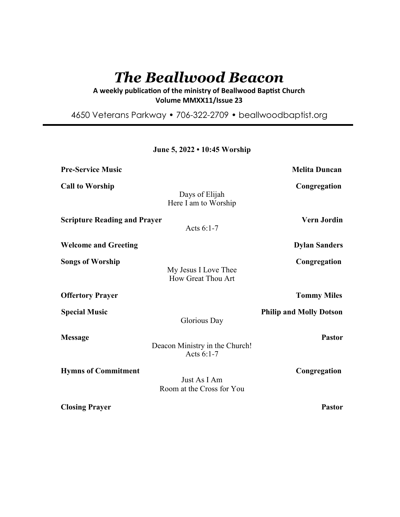# *The Beallwood Beacon*

A weekly publication of the ministry of Beallwood Baptist Church **Volume MMXX11/Issue 23** 

4650 Veterans Parkway • 706-322-2709 • beallwoodbaptist.org

**June 5, 2022 • 10:45 Worship**

| <b>Pre-Service Music</b>            |                                                | <b>Melita Duncan</b>           |
|-------------------------------------|------------------------------------------------|--------------------------------|
| <b>Call to Worship</b>              | Days of Elijah<br>Here I am to Worship         | Congregation                   |
| <b>Scripture Reading and Prayer</b> | Acts $6:1-7$                                   | <b>Vern Jordin</b>             |
| <b>Welcome and Greeting</b>         |                                                | <b>Dylan Sanders</b>           |
| <b>Songs of Worship</b>             | My Jesus I Love Thee<br>How Great Thou Art     | Congregation                   |
| <b>Offertory Prayer</b>             |                                                | <b>Tommy Miles</b>             |
| <b>Special Music</b>                | Glorious Day                                   | <b>Philip and Molly Dotson</b> |
| <b>Message</b>                      | Deacon Ministry in the Church!<br>Acts $6:1-7$ | <b>Pastor</b>                  |
| <b>Hymns of Commitment</b>          | Just As I Am<br>Room at the Cross for You      | Congregation                   |
| <b>Closing Prayer</b>               |                                                | <b>Pastor</b>                  |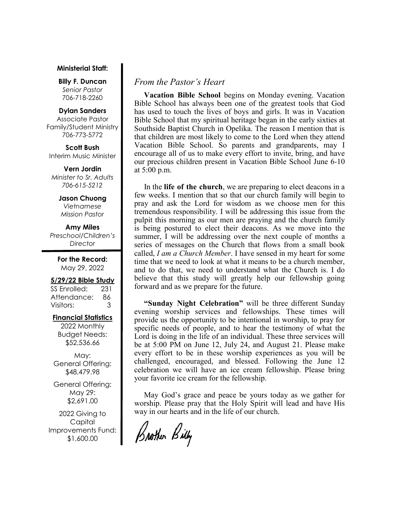#### **Ministerial Staff:**

**Billy F. Duncan** *Senior Pastor*  706-718-2260

#### **Dylan Sanders**

Associate Pastor Family/Student Ministry 706-773-5772

**Scott Bush**  Interim Music Minister

**Vern Jordin** *Minister to Sr. Adults 706-615-5212* 

> **Jason Chuong**  *Vietnamese Mission Pastor*

**Amy Miles** *Preschool/Children's Director* 

> **For the Record:**  May 29, 2022

#### **5/29/22 Bible Study**

SS Enrolled: 231 Attendance: 86 Visitors: 3

#### **Financial Statistics**

2022 Monthly Budget Needs: \$52,536.66

May: General Offering: \$48,479.98

General Offering: May 29: \$2,691.00

2022 Giving to Capital Improvements Fund: \$1,600.00

## *From the Pastor's Heart*

 **Vacation Bible School** begins on Monday evening. Vacation Bible School has always been one of the greatest tools that God has used to touch the lives of boys and girls. It was in Vacation Bible School that my spiritual heritage began in the early sixties at Southside Baptist Church in Opelika. The reason I mention that is that children are most likely to come to the Lord when they attend Vacation Bible School. So parents and grandparents, may I encourage all of us to make every effort to invite, bring, and have our precious children present in Vacation Bible School June 6-10 at 5:00 p.m.

 In the **life of the church**, we are preparing to elect deacons in a few weeks. I mention that so that our church family will begin to pray and ask the Lord for wisdom as we choose men for this tremendous responsibility. I will be addressing this issue from the pulpit this morning as our men are praying and the church family is being postured to elect their deacons. As we move into the summer, I will be addressing over the next couple of months a series of messages on the Church that flows from a small book called, *I am a Church Member*. I have sensed in my heart for some time that we need to look at what it means to be a church member, and to do that, we need to understand what the Church is. I do believe that this study will greatly help our fellowship going forward and as we prepare for the future.

 **"Sunday Night Celebration"** will be three different Sunday evening worship services and fellowships. These times will provide us the opportunity to be intentional in worship, to pray for specific needs of people, and to hear the testimony of what the Lord is doing in the life of an individual. These three services will be at 5:00 PM on June 12, July 24, and August 21. Please make every effort to be in these worship experiences as you will be challenged, encouraged, and blessed. Following the June 12 celebration we will have an ice cream fellowship. Please bring your favorite ice cream for the fellowship.

 May God's grace and peace be yours today as we gather for worship. Please pray that the Holy Spirit will lead and have His way in our hearts and in the life of our church.

Brother Billy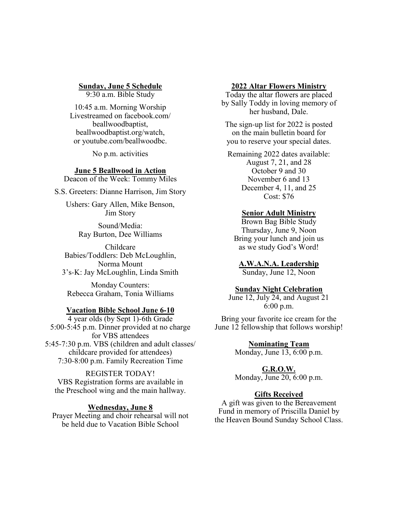**Sunday, June 5 Schedule**

9:30 a.m. Bible Study

10:45 a.m. Morning Worship Livestreamed on facebook.com/ beallwoodbaptist, beallwoodbaptist.org/watch, or youtube.com/beallwoodbc.

No p.m. activities

## **June 5 Beallwood in Action**

Deacon of the Week: Tommy Miles

S.S. Greeters: Dianne Harrison, Jim Story

Ushers: Gary Allen, Mike Benson, Jim Story

> Sound/Media: Ray Burton, Dee Williams

Childcare Babies/Toddlers: Deb McLoughlin, Norma Mount 3's-K: Jay McLoughlin, Linda Smith

Monday Counters: Rebecca Graham, Tonia Williams

#### **Vacation Bible School June 6-10**

4 year olds (by Sept 1)-6th Grade 5:00-5:45 p.m. Dinner provided at no charge for VBS attendees 5:45-7:30 p.m. VBS (children and adult classes/ childcare provided for attendees) 7:30-8:00 p.m. Family Recreation Time

## REGISTER TODAY!

VBS Registration forms are available in the Preschool wing and the main hallway.

## **Wednesday, June 8**

Prayer Meeting and choir rehearsal will not be held due to Vacation Bible School

#### **2022 Altar Flowers Ministry**

Today the altar flowers are placed by Sally Toddy in loving memory of her husband, Dale.

The sign-up list for 2022 is posted on the main bulletin board for you to reserve your special dates.

Remaining 2022 dates available: August 7, 21, and 28 October 9 and 30 November 6 and 13 December 4, 11, and 25 Cost: \$76

#### **Senior Adult Ministry**

Brown Bag Bible Study Thursday, June 9, Noon Bring your lunch and join us as we study God's Word!

**A.W.A.N.A. Leadership**

Sunday, June 12, Noon

## **Sunday Night Celebration**

June 12, July 24, and August 21 6:00 p.m.

Bring your favorite ice cream for the June 12 fellowship that follows worship!

> **Nominating Team** Monday, June 13, 6:00 p.m.

> > **G.R.O.W.**

Monday, June 20, 6:00 p.m.

#### **Gifts Received**

A gift was given to the Bereavement Fund in memory of Priscilla Daniel by the Heaven Bound Sunday School Class.